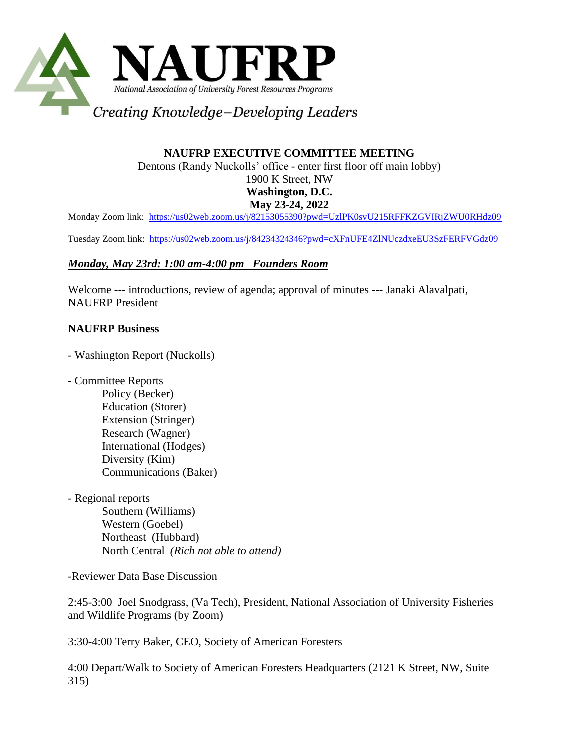

# **NAUFRP EXECUTIVE COMMITTEE MEETING**

Dentons (Randy Nuckolls' office - enter first floor off main lobby)

1900 K Street, NW

## **Washington, D.C.**

#### **May 23-24, 2022**

Monday Zoom link:<https://us02web.zoom.us/j/82153055390?pwd=UzlPK0svU215RFFKZGVIRjZWU0RHdz09>

Tuesday Zoom link: <https://us02web.zoom.us/j/84234324346?pwd=cXFnUFE4ZlNUczdxeEU3SzFERFVGdz09>

## *Monday, May 23rd: 1:00 am-4:00 pm Founders Room*

Welcome --- introductions, review of agenda; approval of minutes --- Janaki Alavalpati, NAUFRP President

## **NAUFRP Business**

- Washington Report (Nuckolls)
- Committee Reports
	- Policy (Becker) Education (Storer) Extension (Stringer) Research (Wagner) International (Hodges) Diversity (Kim) Communications (Baker)
- Regional reports

Southern (Williams) Western (Goebel) Northeast (Hubbard) North Central *(Rich not able to attend)*

-Reviewer Data Base Discussion

2:45-3:00 Joel Snodgrass, (Va Tech), President, National Association of University Fisheries and Wildlife Programs (by Zoom)

3:30-4:00 Terry Baker, CEO, Society of American Foresters

4:00 Depart/Walk to Society of American Foresters Headquarters (2121 K Street, NW, Suite 315)